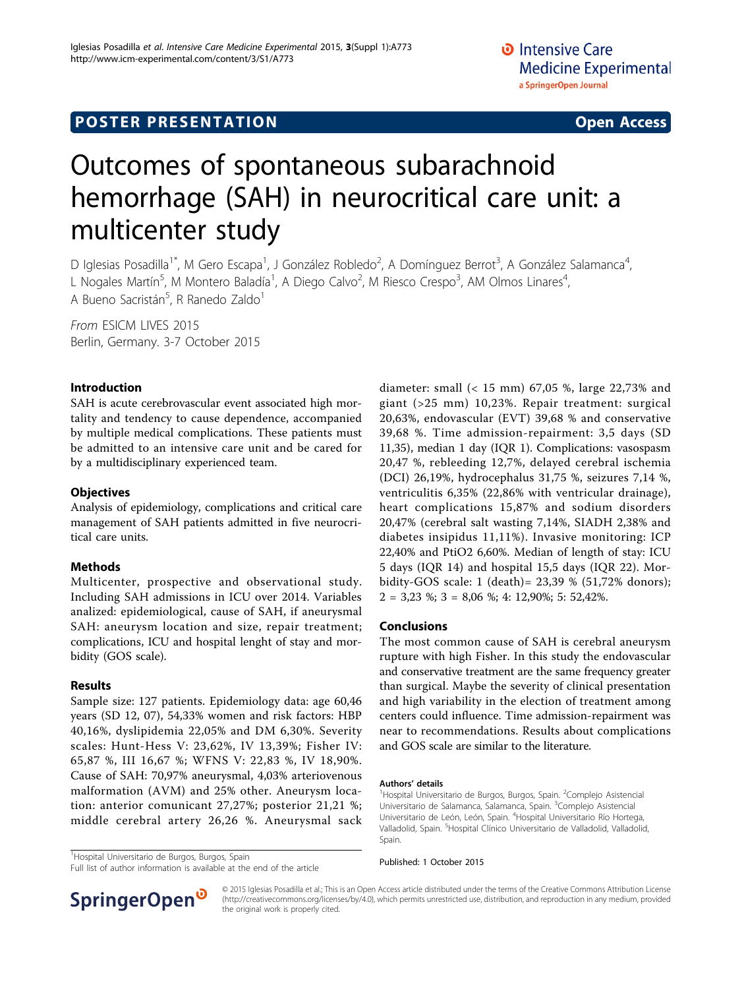# **POSTER PRESENTATION CONSUMING THE SERVICE SERVICE SERVICES**

# Outcomes of spontaneous subarachnoid hemorrhage (SAH) in neurocritical care unit: a multicenter study

D Iglesias Posadilla<sup>1\*</sup>, M Gero Escapa<sup>1</sup>, J González Robledo<sup>2</sup>, A Domínguez Berrot<sup>3</sup>, A González Salamanca<sup>4</sup> , L Nogales Martín<sup>5</sup>, M Montero Baladía<sup>1</sup>, A Diego Calvo<sup>2</sup>, M Riesco Crespo<sup>3</sup>, AM Olmos Linares<sup>4</sup> , A Bueno Sacristán<sup>5</sup>, R Ranedo Zaldo<sup>1</sup>

From ESICM LIVES 2015 Berlin, Germany. 3-7 October 2015

### Introduction

SAH is acute cerebrovascular event associated high mortality and tendency to cause dependence, accompanied by multiple medical complications. These patients must be admitted to an intensive care unit and be cared for by a multidisciplinary experienced team.

#### **Objectives**

Analysis of epidemiology, complications and critical care management of SAH patients admitted in five neurocritical care units.

#### Methods

Multicenter, prospective and observational study. Including SAH admissions in ICU over 2014. Variables analized: epidemiological, cause of SAH, if aneurysmal SAH: aneurysm location and size, repair treatment; complications, ICU and hospital lenght of stay and morbidity (GOS scale).

#### Results

Sample size: 127 patients. Epidemiology data: age 60,46 years (SD 12, 07), 54,33% women and risk factors: HBP 40,16%, dyslipidemia 22,05% and DM 6,30%. Severity scales: Hunt-Hess V: 23,62%, IV 13,39%; Fisher IV: 65,87 %, III 16,67 %; WFNS V: 22,83 %, IV 18,90%. Cause of SAH: 70,97% aneurysmal, 4,03% arteriovenous malformation (AVM) and 25% other. Aneurysm location: anterior comunicant 27,27%; posterior 21,21 %; middle cerebral artery 26,26 %. Aneurysmal sack

<sup>1</sup>Hospital Universitario de Burgos, Burgos, Spain

Full list of author information is available at the end of the article

diameter: small (< 15 mm) 67,05 %, large 22,73% and giant (>25 mm) 10,23%. Repair treatment: surgical 20,63%, endovascular (EVT) 39,68 % and conservative 39,68 %. Time admission-repairment: 3,5 days (SD 11,35), median 1 day (IQR 1). Complications: vasospasm 20,47 %, rebleeding 12,7%, delayed cerebral ischemia (DCI) 26,19%, hydrocephalus 31,75 %, seizures 7,14 %, ventriculitis 6,35% (22,86% with ventricular drainage), heart complications 15,87% and sodium disorders 20,47% (cerebral salt wasting 7,14%, SIADH 2,38% and diabetes insipidus 11,11%). Invasive monitoring: ICP 22,40% and PtiO2 6,60%. Median of length of stay: ICU 5 days (IQR 14) and hospital 15,5 days (IQR 22). Morbidity-GOS scale: 1 (death)= 23,39 % (51,72% donors); 2 = 3,23 %; 3 = 8,06 %; 4: 12,90%; 5: 52,42%.

#### Conclusions

The most common cause of SAH is cerebral aneurysm rupture with high Fisher. In this study the endovascular and conservative treatment are the same frequency greater than surgical. Maybe the severity of clinical presentation and high variability in the election of treatment among centers could influence. Time admission-repairment was near to recommendations. Results about complications and GOS scale are similar to the literature.

#### Authors' details <sup>1</sup>

Hospital Universitario de Burgos, Burgos, Spain. <sup>2</sup>Complejo Asistencial Universitario de Salamanca, Salamanca, Spain. <sup>3</sup>Complejo Asistencial Universitario de León, León, Spain. <sup>4</sup>Hospital Universitario Río Hortega, Valladolid, Spain. <sup>5</sup> Hospital Clínico Universitario de Valladolid, Valladolid, Spain.

Published: 1 October 2015



© 2015 Iglesias Posadilla et al.; This is an Open Access article distributed under the terms of the Creative Commons Attribution License [\(http://creativecommons.org/licenses/by/4.0](http://creativecommons.org/licenses/by/4.0)), which permits unrestricted use, distribution, and reproduction in any medium, provided the original work is properly cited.